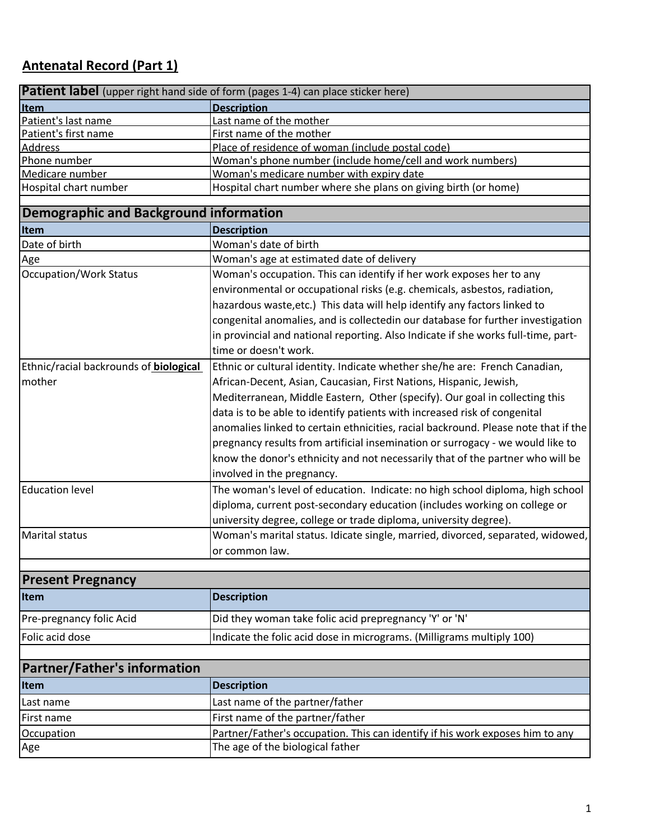# **Antenatal Record (Part 1)**

| <b>Patient label</b> (upper right hand side of form (pages 1-4) can place sticker here) |                                                                                    |  |
|-----------------------------------------------------------------------------------------|------------------------------------------------------------------------------------|--|
| Item                                                                                    | <b>Description</b>                                                                 |  |
| Patient's last name                                                                     | Last name of the mother                                                            |  |
| Patient's first name                                                                    | First name of the mother                                                           |  |
| <b>Address</b>                                                                          | Place of residence of woman (include postal code)                                  |  |
| Phone number                                                                            | Woman's phone number (include home/cell and work numbers)                          |  |
| Medicare number                                                                         | Woman's medicare number with expiry date                                           |  |
| Hospital chart number                                                                   | Hospital chart number where she plans on giving birth (or home)                    |  |
| Demographic and Background information                                                  |                                                                                    |  |
| Item                                                                                    | <b>Description</b>                                                                 |  |
| Date of birth                                                                           | Woman's date of birth                                                              |  |
| Age                                                                                     | Woman's age at estimated date of delivery                                          |  |
| Occupation/Work Status                                                                  | Woman's occupation. This can identify if her work exposes her to any               |  |
|                                                                                         | environmental or occupational risks (e.g. chemicals, asbestos, radiation,          |  |
|                                                                                         | hazardous waste, etc.) This data will help identify any factors linked to          |  |
|                                                                                         | congenital anomalies, and is collectedin our database for further investigation    |  |
|                                                                                         | in provincial and national reporting. Also Indicate if she works full-time, part-  |  |
|                                                                                         | time or doesn't work.                                                              |  |
| Ethnic/racial backrounds of <b>biological</b>                                           | Ethnic or cultural identity. Indicate whether she/he are: French Canadian,         |  |
| mother                                                                                  | African-Decent, Asian, Caucasian, First Nations, Hispanic, Jewish,                 |  |
|                                                                                         | Mediterranean, Middle Eastern, Other (specify). Our goal in collecting this        |  |
|                                                                                         |                                                                                    |  |
|                                                                                         | data is to be able to identify patients with increased risk of congenital          |  |
|                                                                                         | anomalies linked to certain ethnicities, racial backround. Please note that if the |  |
|                                                                                         | pregnancy results from artificial insemination or surrogacy - we would like to     |  |
|                                                                                         | know the donor's ethnicity and not necessarily that of the partner who will be     |  |
|                                                                                         | involved in the pregnancy.                                                         |  |
| <b>Education level</b>                                                                  | The woman's level of education. Indicate: no high school diploma, high school      |  |
|                                                                                         | diploma, current post-secondary education (includes working on college or          |  |
|                                                                                         | university degree, college or trade diploma, university degree).                   |  |
| <b>Marital status</b>                                                                   | Woman's marital status. Idicate single, married, divorced, separated, widowed,     |  |
|                                                                                         | or common law.                                                                     |  |
|                                                                                         |                                                                                    |  |
| <b>Present Pregnancy</b>                                                                |                                                                                    |  |
| <b>Item</b>                                                                             | <b>Description</b>                                                                 |  |
| Pre-pregnancy folic Acid                                                                | Did they woman take folic acid prepregnancy 'Y' or 'N'                             |  |
| Folic acid dose                                                                         | Indicate the folic acid dose in micrograms. (Milligrams multiply 100)              |  |
|                                                                                         |                                                                                    |  |
| <b>Partner/Father's information</b>                                                     |                                                                                    |  |
| <b>Item</b>                                                                             | <b>Description</b>                                                                 |  |
| Last name                                                                               | Last name of the partner/father                                                    |  |
| First name                                                                              | First name of the partner/father                                                   |  |
| Occupation                                                                              | Partner/Father's occupation. This can identify if his work exposes him to any      |  |
| Age                                                                                     | The age of the biological father                                                   |  |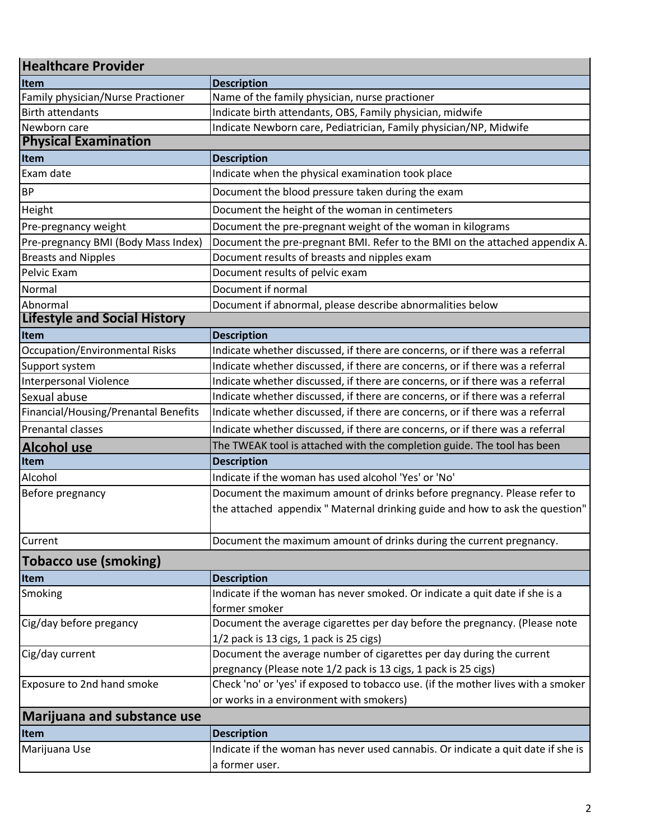| <b>Healthcare Provider</b>            |                                                                                                                                                         |  |
|---------------------------------------|---------------------------------------------------------------------------------------------------------------------------------------------------------|--|
| Item                                  | <b>Description</b>                                                                                                                                      |  |
| Family physician/Nurse Practioner     | Name of the family physician, nurse practioner                                                                                                          |  |
| <b>Birth attendants</b>               | Indicate birth attendants, OBS, Family physician, midwife                                                                                               |  |
| Newborn care                          | Indicate Newborn care, Pediatrician, Family physician/NP, Midwife                                                                                       |  |
| <b>Physical Examination</b>           |                                                                                                                                                         |  |
| Item                                  | <b>Description</b>                                                                                                                                      |  |
| Exam date                             | Indicate when the physical examination took place                                                                                                       |  |
| <b>BP</b>                             | Document the blood pressure taken during the exam                                                                                                       |  |
| Height                                | Document the height of the woman in centimeters                                                                                                         |  |
| Pre-pregnancy weight                  | Document the pre-pregnant weight of the woman in kilograms                                                                                              |  |
| Pre-pregnancy BMI (Body Mass Index)   | Document the pre-pregnant BMI. Refer to the BMI on the attached appendix A.                                                                             |  |
| <b>Breasts and Nipples</b>            | Document results of breasts and nipples exam                                                                                                            |  |
| Pelvic Exam                           | Document results of pelvic exam                                                                                                                         |  |
| Normal                                | Document if normal                                                                                                                                      |  |
| Abnormal                              | Document if abnormal, please describe abnormalities below                                                                                               |  |
| <b>Lifestyle and Social History</b>   |                                                                                                                                                         |  |
| Item                                  | <b>Description</b>                                                                                                                                      |  |
| <b>Occupation/Environmental Risks</b> | Indicate whether discussed, if there are concerns, or if there was a referral                                                                           |  |
| Support system                        | Indicate whether discussed, if there are concerns, or if there was a referral                                                                           |  |
| <b>Interpersonal Violence</b>         | Indicate whether discussed, if there are concerns, or if there was a referral                                                                           |  |
| Sexual abuse                          | Indicate whether discussed, if there are concerns, or if there was a referral                                                                           |  |
| Financial/Housing/Prenantal Benefits  | Indicate whether discussed, if there are concerns, or if there was a referral                                                                           |  |
| Prenantal classes                     | Indicate whether discussed, if there are concerns, or if there was a referral                                                                           |  |
| <b>Alcohol use</b>                    | The TWEAK tool is attached with the completion guide. The tool has been                                                                                 |  |
| Item                                  | <b>Description</b>                                                                                                                                      |  |
| Alcohol                               | Indicate if the woman has used alcohol 'Yes' or 'No'                                                                                                    |  |
| Before pregnancy                      | Document the maximum amount of drinks before pregnancy. Please refer to<br>the attached appendix " Maternal drinking guide and how to ask the question" |  |
| Current                               | Document the maximum amount of drinks during the current pregnancy.                                                                                     |  |
| <b>Tobacco use (smoking)</b>          |                                                                                                                                                         |  |
| <b>Item</b>                           | <b>Description</b>                                                                                                                                      |  |
| Smoking                               | Indicate if the woman has never smoked. Or indicate a quit date if she is a                                                                             |  |
|                                       | former smoker                                                                                                                                           |  |
| Cig/day before pregancy               | Document the average cigarettes per day before the pregnancy. (Please note                                                                              |  |
|                                       | 1/2 pack is 13 cigs, 1 pack is 25 cigs)                                                                                                                 |  |
| Cig/day current                       | Document the average number of cigarettes per day during the current                                                                                    |  |
|                                       | pregnancy (Please note 1/2 pack is 13 cigs, 1 pack is 25 cigs)                                                                                          |  |
| Exposure to 2nd hand smoke            | Check 'no' or 'yes' if exposed to tobacco use. (if the mother lives with a smoker<br>or works in a environment with smokers)                            |  |
| <b>Marijuana and substance use</b>    |                                                                                                                                                         |  |
| <b>Item</b>                           | <b>Description</b>                                                                                                                                      |  |
| Marijuana Use                         | Indicate if the woman has never used cannabis. Or indicate a quit date if she is                                                                        |  |
|                                       | a former user.                                                                                                                                          |  |
|                                       |                                                                                                                                                         |  |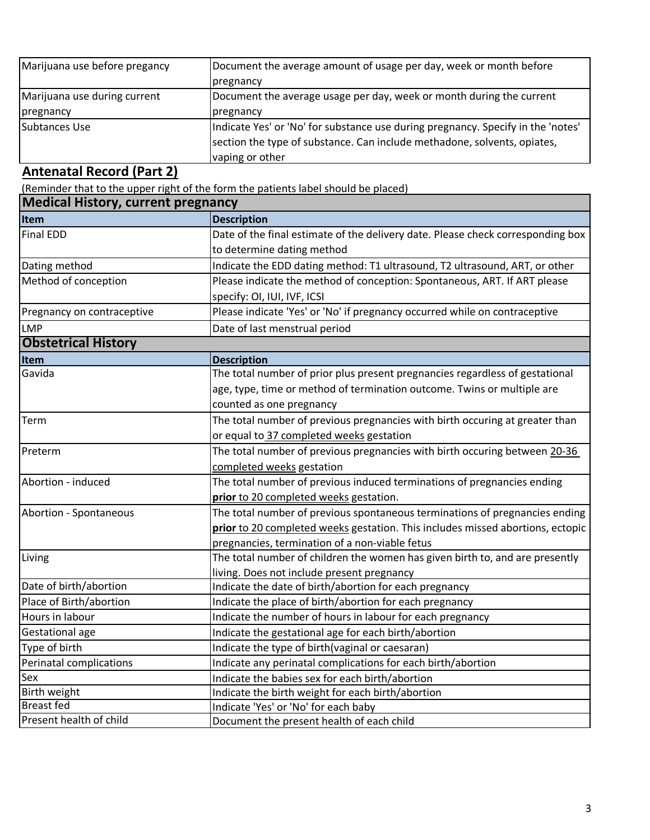| Marijuana use before pregancy | Document the average amount of usage per day, week or month before               |
|-------------------------------|----------------------------------------------------------------------------------|
|                               | pregnancy                                                                        |
| Marijuana use during current  | Document the average usage per day, week or month during the current             |
| pregnancy                     | pregnancy                                                                        |
| Subtances Use                 | Indicate Yes' or 'No' for substance use during pregnancy. Specify in the 'notes' |
|                               | section the type of substance. Can include methadone, solvents, opiates,         |
|                               | vaping or other                                                                  |

### **Antenatal Record (Part 2)**

(Reminder that to the upper right of the form the patients label should be placed)

| <b>Medical History, current pregnancy</b> |                                                                                 |  |
|-------------------------------------------|---------------------------------------------------------------------------------|--|
| Item                                      | <b>Description</b>                                                              |  |
| <b>Final EDD</b>                          | Date of the final estimate of the delivery date. Please check corresponding box |  |
|                                           | to determine dating method                                                      |  |
| Dating method                             | Indicate the EDD dating method: T1 ultrasound, T2 ultrasound, ART, or other     |  |
| Method of conception                      | Please indicate the method of conception: Spontaneous, ART. If ART please       |  |
|                                           | specify: OI, IUI, IVF, ICSI                                                     |  |
| Pregnancy on contraceptive                | Please indicate 'Yes' or 'No' if pregnancy occurred while on contraceptive      |  |
| <b>LMP</b>                                | Date of last menstrual period                                                   |  |
| <b>Obstetrical History</b>                |                                                                                 |  |
| Item                                      | <b>Description</b>                                                              |  |
| Gavida                                    | The total number of prior plus present pregnancies regardless of gestational    |  |
|                                           | age, type, time or method of termination outcome. Twins or multiple are         |  |
|                                           | counted as one pregnancy                                                        |  |
| Term                                      | The total number of previous pregnancies with birth occuring at greater than    |  |
|                                           | or equal to 37 completed weeks gestation                                        |  |
| Preterm                                   | The total number of previous pregnancies with birth occuring between 20-36      |  |
|                                           | completed weeks gestation                                                       |  |
| Abortion - induced                        | The total number of previous induced terminations of pregnancies ending         |  |
|                                           | prior to 20 completed weeks gestation.                                          |  |
| Abortion - Spontaneous                    | The total number of previous spontaneous terminations of pregnancies ending     |  |
|                                           | prior to 20 completed weeks gestation. This includes missed abortions, ectopic  |  |
|                                           | pregnancies, termination of a non-viable fetus                                  |  |
| Living                                    | The total number of children the women has given birth to, and are presently    |  |
|                                           | living. Does not include present pregnancy                                      |  |
| Date of birth/abortion                    | Indicate the date of birth/abortion for each pregnancy                          |  |
| Place of Birth/abortion                   | Indicate the place of birth/abortion for each pregnancy                         |  |
| Hours in labour                           | Indicate the number of hours in labour for each pregnancy                       |  |
| Gestational age                           | Indicate the gestational age for each birth/abortion                            |  |
| Type of birth                             | Indicate the type of birth(vaginal or caesaran)                                 |  |
| Perinatal complications                   | Indicate any perinatal complications for each birth/abortion                    |  |
| Sex                                       | Indicate the babies sex for each birth/abortion                                 |  |
| Birth weight                              | Indicate the birth weight for each birth/abortion                               |  |
| <b>Breast fed</b>                         | Indicate 'Yes' or 'No' for each baby                                            |  |
| Present health of child                   | Document the present health of each child                                       |  |

٦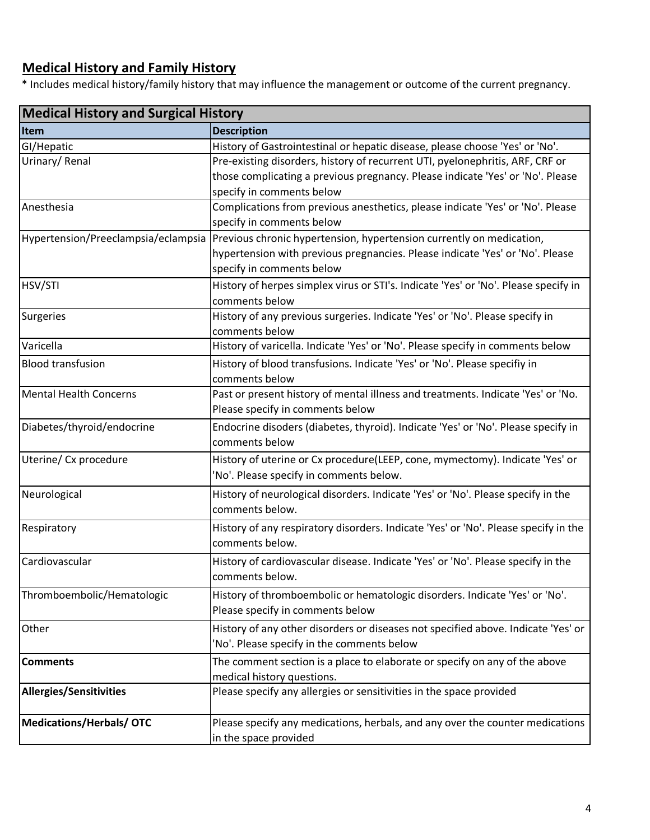# **Medical History and Family History**

\* Includes medical history/family history that may influence the management or outcome of the current pregnancy.

| <b>Medical History and Surgical History</b> |                                                                                                           |  |
|---------------------------------------------|-----------------------------------------------------------------------------------------------------------|--|
| <b>Item</b>                                 | <b>Description</b>                                                                                        |  |
| GI/Hepatic                                  | History of Gastrointestinal or hepatic disease, please choose 'Yes' or 'No'.                              |  |
| Urinary/Renal                               | Pre-existing disorders, history of recurrent UTI, pyelonephritis, ARF, CRF or                             |  |
|                                             | those complicating a previous pregnancy. Please indicate 'Yes' or 'No'. Please                            |  |
|                                             | specify in comments below                                                                                 |  |
| Anesthesia                                  | Complications from previous anesthetics, please indicate 'Yes' or 'No'. Please                            |  |
|                                             | specify in comments below                                                                                 |  |
|                                             | Hypertension/Preeclampsia/eclampsia  Previous chronic hypertension, hypertension currently on medication, |  |
|                                             | hypertension with previous pregnancies. Please indicate 'Yes' or 'No'. Please                             |  |
|                                             | specify in comments below                                                                                 |  |
| HSV/STI                                     | History of herpes simplex virus or STI's. Indicate 'Yes' or 'No'. Please specify in                       |  |
|                                             | comments below                                                                                            |  |
| Surgeries                                   | History of any previous surgeries. Indicate 'Yes' or 'No'. Please specify in                              |  |
|                                             | comments below                                                                                            |  |
| Varicella                                   | History of varicella. Indicate 'Yes' or 'No'. Please specify in comments below                            |  |
| <b>Blood transfusion</b>                    | History of blood transfusions. Indicate 'Yes' or 'No'. Please specifiy in                                 |  |
|                                             | comments below                                                                                            |  |
| Mental Health Concerns                      | Past or present history of mental illness and treatments. Indicate 'Yes' or 'No.                          |  |
|                                             | Please specify in comments below                                                                          |  |
| Diabetes/thyroid/endocrine                  | Endocrine disoders (diabetes, thyroid). Indicate 'Yes' or 'No'. Please specify in                         |  |
|                                             | comments below                                                                                            |  |
| Uterine/ Cx procedure                       | History of uterine or Cx procedure(LEEP, cone, mymectomy). Indicate 'Yes' or                              |  |
|                                             | 'No'. Please specify in comments below.                                                                   |  |
| Neurological                                | History of neurological disorders. Indicate 'Yes' or 'No'. Please specify in the                          |  |
|                                             | comments below.                                                                                           |  |
| Respiratory                                 | History of any respiratory disorders. Indicate 'Yes' or 'No'. Please specify in the                       |  |
|                                             | comments below.                                                                                           |  |
| Cardiovascular                              | History of cardiovascular disease. Indicate 'Yes' or 'No'. Please specify in the                          |  |
|                                             | comments below.                                                                                           |  |
| Thromboembolic/Hematologic                  | History of thromboembolic or hematologic disorders. Indicate 'Yes' or 'No'.                               |  |
|                                             | Please specify in comments below                                                                          |  |
|                                             |                                                                                                           |  |
| Other                                       | History of any other disorders or diseases not specified above. Indicate 'Yes' or                         |  |
|                                             | 'No'. Please specify in the comments below                                                                |  |
| <b>Comments</b>                             | The comment section is a place to elaborate or specify on any of the above                                |  |
|                                             | medical history questions.                                                                                |  |
| <b>Allergies/Sensitivities</b>              | Please specify any allergies or sensitivities in the space provided                                       |  |
|                                             |                                                                                                           |  |
| Medications/Herbals/OTC                     | Please specify any medications, herbals, and any over the counter medications                             |  |
|                                             | in the space provided                                                                                     |  |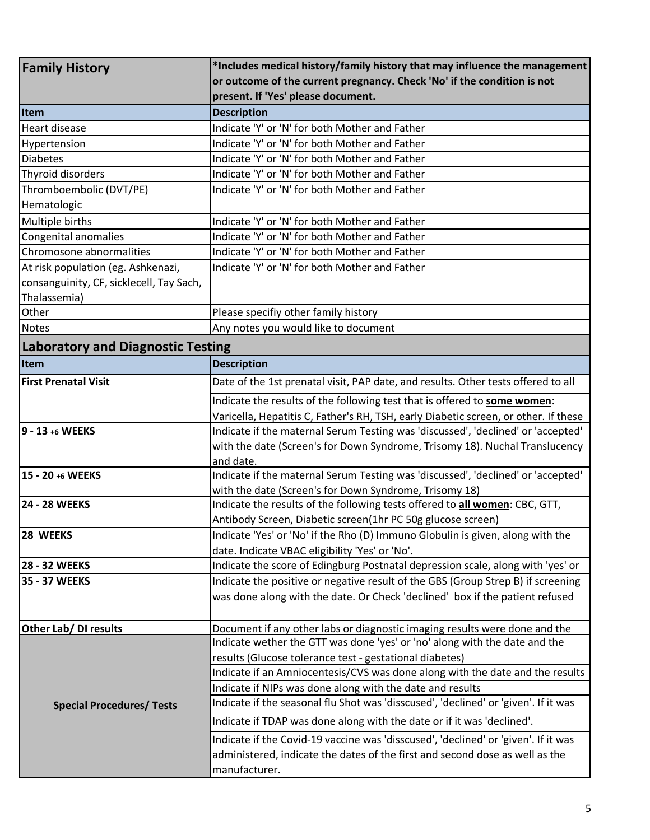| <b>Family History</b>                    | *Includes medical history/family history that may influence the management                                                                       |
|------------------------------------------|--------------------------------------------------------------------------------------------------------------------------------------------------|
|                                          | or outcome of the current pregnancy. Check 'No' if the condition is not                                                                          |
|                                          | present. If 'Yes' please document.                                                                                                               |
| <b>Item</b>                              | <b>Description</b>                                                                                                                               |
| <b>Heart disease</b>                     | Indicate 'Y' or 'N' for both Mother and Father                                                                                                   |
| Hypertension                             | Indicate 'Y' or 'N' for both Mother and Father                                                                                                   |
| <b>Diabetes</b>                          | Indicate 'Y' or 'N' for both Mother and Father                                                                                                   |
| Thyroid disorders                        | Indicate 'Y' or 'N' for both Mother and Father                                                                                                   |
| Thromboembolic (DVT/PE)                  | Indicate 'Y' or 'N' for both Mother and Father                                                                                                   |
| Hematologic                              |                                                                                                                                                  |
| Multiple births                          | Indicate 'Y' or 'N' for both Mother and Father                                                                                                   |
| <b>Congenital anomalies</b>              | Indicate 'Y' or 'N' for both Mother and Father                                                                                                   |
| Chromosone abnormalities                 | Indicate 'Y' or 'N' for both Mother and Father                                                                                                   |
| At risk population (eg. Ashkenazi,       | Indicate 'Y' or 'N' for both Mother and Father                                                                                                   |
| consanguinity, CF, sicklecell, Tay Sach, |                                                                                                                                                  |
| Thalassemia)                             |                                                                                                                                                  |
| Other                                    | Please specifiy other family history                                                                                                             |
| <b>Notes</b>                             | Any notes you would like to document                                                                                                             |
| <b>Laboratory and Diagnostic Testing</b> |                                                                                                                                                  |
| Item                                     | <b>Description</b>                                                                                                                               |
| <b>First Prenatal Visit</b>              | Date of the 1st prenatal visit, PAP date, and results. Other tests offered to all                                                                |
|                                          | Indicate the results of the following test that is offered to some women:                                                                        |
|                                          | Varicella, Hepatitis C, Father's RH, TSH, early Diabetic screen, or other. If these                                                              |
| 9 - 13 +6 WEEKS                          | Indicate if the maternal Serum Testing was 'discussed', 'declined' or 'accepted'                                                                 |
|                                          | with the date (Screen's for Down Syndrome, Trisomy 18). Nuchal Translucency                                                                      |
|                                          | and date.                                                                                                                                        |
| 15 - 20 +6 WEEKS                         | Indicate if the maternal Serum Testing was 'discussed', 'declined' or 'accepted'                                                                 |
|                                          | with the date (Screen's for Down Syndrome, Trisomy 18)                                                                                           |
| <b>24 - 28 WEEKS</b>                     | Indicate the results of the following tests offered to all women: CBC, GTT,                                                                      |
|                                          | Antibody Screen, Diabetic screen(1hr PC 50g glucose screen)                                                                                      |
| 28 WEEKS                                 | Indicate 'Yes' or 'No' if the Rho (D) Immuno Globulin is given, along with the                                                                   |
|                                          | date. Indicate VBAC eligibility 'Yes' or 'No'.                                                                                                   |
| 28 - 32 WEEKS                            | Indicate the score of Edingburg Postnatal depression scale, along with 'yes' or                                                                  |
| 35 - 37 WEEKS                            | Indicate the positive or negative result of the GBS (Group Strep B) if screening                                                                 |
|                                          | was done along with the date. Or Check 'declined' box if the patient refused                                                                     |
|                                          |                                                                                                                                                  |
| Other Lab/ DI results                    | Document if any other labs or diagnostic imaging results were done and the                                                                       |
|                                          | Indicate wether the GTT was done 'yes' or 'no' along with the date and the                                                                       |
|                                          | results (Glucose tolerance test - gestational diabetes)                                                                                          |
|                                          | Indicate if an Amniocentesis/CVS was done along with the date and the results                                                                    |
|                                          | Indicate if NIPs was done along with the date and results<br>Indicate if the seasonal flu Shot was 'disscused', 'declined' or 'given'. If it was |
| <b>Special Procedures/ Tests</b>         |                                                                                                                                                  |
|                                          | Indicate if TDAP was done along with the date or if it was 'declined'.                                                                           |
|                                          | Indicate if the Covid-19 vaccine was 'disscused', 'declined' or 'given'. If it was                                                               |
|                                          | administered, indicate the dates of the first and second dose as well as the                                                                     |
|                                          | manufacturer.                                                                                                                                    |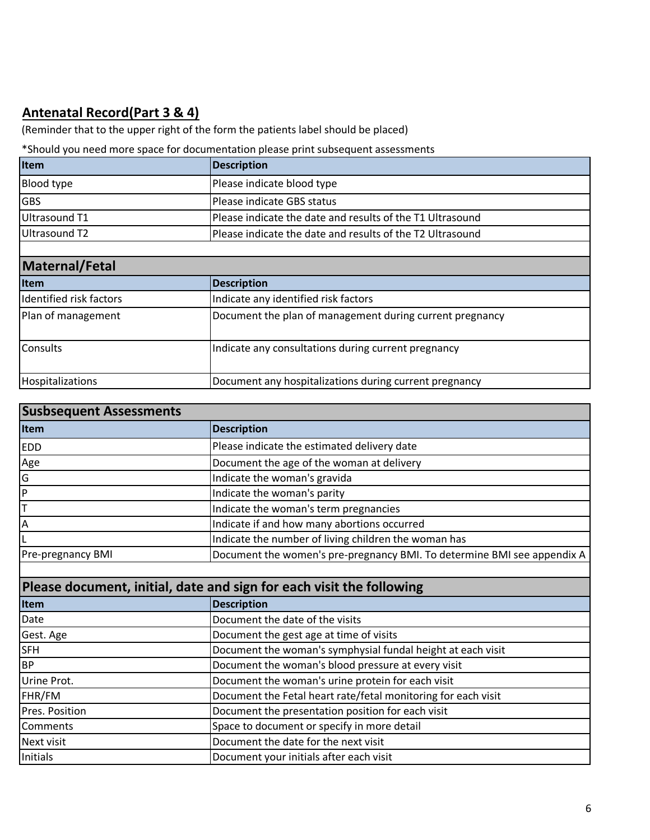# **Antenatal Record(Part 3 & 4)**

(Reminder that to the upper right of the form the patients label should be placed)

### \*Should you need more space for documentation please print subsequent assessments

| Item              | Description                                               |
|-------------------|-----------------------------------------------------------|
| <b>Blood type</b> | Please indicate blood type                                |
| <b>GBS</b>        | Please indicate GBS status                                |
| Ultrasound T1     | Please indicate the date and results of the T1 Ultrasound |
| Ultrasound T2     | Please indicate the date and results of the T2 Ultrasound |
|                   |                                                           |

| Maternal/Fetal          |                                                          |  |
|-------------------------|----------------------------------------------------------|--|
| <b>I</b> tem            | <b>Description</b>                                       |  |
| Identified risk factors | Indicate any identified risk factors                     |  |
| Plan of management      | Document the plan of management during current pregnancy |  |
| <b>Consults</b>         | Indicate any consultations during current pregnancy      |  |
| Hospitalizations        | Document any hospitalizations during current pregnancy   |  |

| <b>Susbsequent Assessments</b> |                                                                         |
|--------------------------------|-------------------------------------------------------------------------|
| Item                           | <b>Description</b>                                                      |
| <b>EDD</b>                     | Please indicate the estimated delivery date                             |
| Age                            | Document the age of the woman at delivery                               |
| G                              | Indicate the woman's gravida                                            |
| lP.                            | Indicate the woman's parity                                             |
|                                | Indicate the woman's term pregnancies                                   |
| I٨                             | Indicate if and how many abortions occurred                             |
|                                | Indicate the number of living children the woman has                    |
| Pre-pregnancy BMI              | Document the women's pre-pregnancy BMI. To determine BMI see appendix A |

| Please document, initial, date and sign for each visit the following |                                                               |
|----------------------------------------------------------------------|---------------------------------------------------------------|
| Item                                                                 | <b>Description</b>                                            |
| Date                                                                 | Document the date of the visits                               |
| Gest. Age                                                            | Document the gest age at time of visits                       |
| <b>SFH</b>                                                           | Document the woman's symphysial fundal height at each visit   |
| BP                                                                   | Document the woman's blood pressure at every visit            |
| Urine Prot.                                                          | Document the woman's urine protein for each visit             |
| FHR/FM                                                               | Document the Fetal heart rate/fetal monitoring for each visit |
| Pres. Position                                                       | Document the presentation position for each visit             |
| <b>Comments</b>                                                      | Space to document or specify in more detail                   |
| Next visit                                                           | Document the date for the next visit                          |
| Initials                                                             | Document your initials after each visit                       |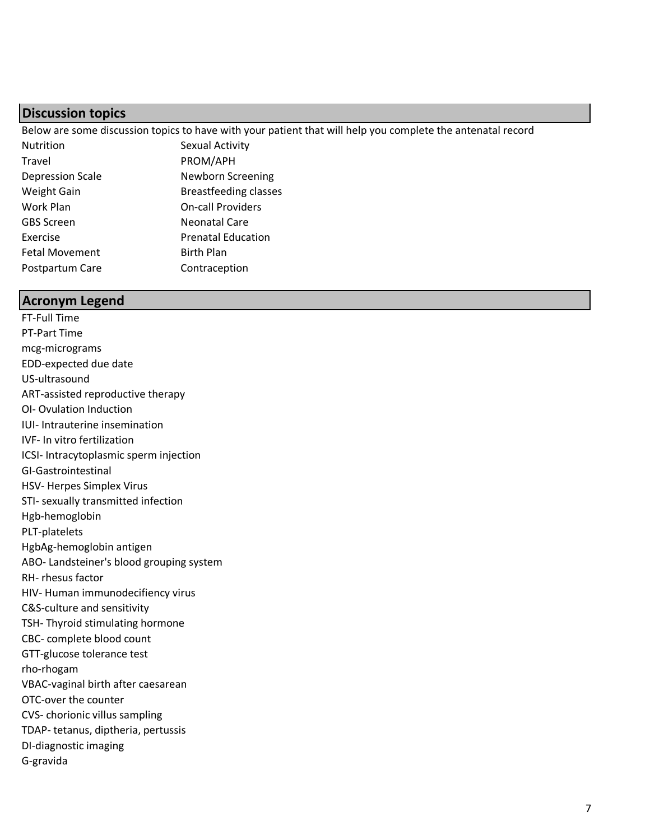### **Discussion topics**

Below are some discussion topics to have with your patient that will help you complete the antenatal record

| Nutrition               | Sexual Activity              |
|-------------------------|------------------------------|
| Travel                  | PROM/APH                     |
| <b>Depression Scale</b> | Newborn Screening            |
| Weight Gain             | <b>Breastfeeding classes</b> |
| Work Plan               | <b>On-call Providers</b>     |
| <b>GBS Screen</b>       | Neonatal Care                |
| Exercise                | <b>Prenatal Education</b>    |
| <b>Fetal Movement</b>   | <b>Birth Plan</b>            |
| Postpartum Care         | Contraception                |

#### **Acronym Legend**

FT-Full Time PT-Part Time mcg-micrograms EDD-expected due date US-ultrasound ART-assisted reproductive therapy OI- Ovulation Induction IUI- Intrauterine insemination IVF- In vitro fertilization ICSI- Intracytoplasmic sperm injection GI-Gastrointestinal HSV- Herpes Simplex Virus STI- sexually transmitted infection Hgb-hemoglobin PLT-platelets HgbAg-hemoglobin antigen ABO- Landsteiner's blood grouping system RH- rhesus factor HIV- Human immunodecifiency virus C&S-culture and sensitivity TSH- Thyroid stimulating hormone CBC- complete blood count GTT-glucose tolerance test rho-rhogam VBAC-vaginal birth after caesarean OTC-over the counter CVS- chorionic villus sampling TDAP- tetanus, diptheria, pertussis DI-diagnostic imaging G-gravida